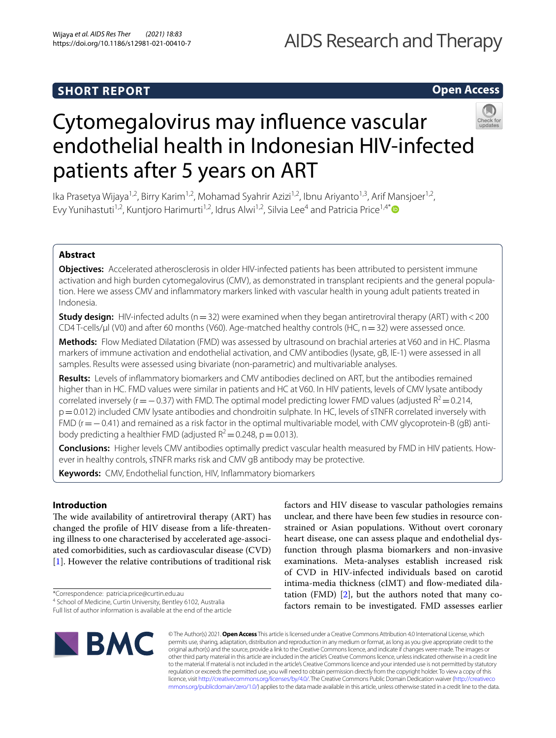# AIDS Research and Therapy

# **Open Access**

# Cytomegalovirus may infuence vascular endothelial health in Indonesian HIV-infected patients after 5 years on ART

Ika Prasetya Wijaya<sup>1,2</sup>, Birry Karim<sup>1,2</sup>, Mohamad Syahrir Azizi<sup>1,2</sup>, Ibnu Ariyanto<sup>1,3</sup>, Arif Mansjoer<sup>1,2</sup>, Evy Yunihastuti<sup>1,2</sup>, Kuntjoro Harimurti<sup>1,2</sup>, Idrus Alwi<sup>1,2</sup>, Silvia Lee<sup>4</sup> and Patricia Price<sup>1,4[\\*](http://orcid.org/0000-0003-3078-4451)</sup>

# **Abstract**

**Objectives:** Accelerated atherosclerosis in older HIV-infected patients has been attributed to persistent immune activation and high burden cytomegalovirus (CMV), as demonstrated in transplant recipients and the general population. Here we assess CMV and infammatory markers linked with vascular health in young adult patients treated in Indonesia.

**Study design:** HIV-infected adults ( $n=32$ ) were examined when they began antiretroviral therapy (ART) with < 200 CD4 T-cells/µl (V0) and after 60 months (V60). Age-matched healthy controls (HC,  $n=32$ ) were assessed once.

**Methods:** Flow Mediated Dilatation (FMD) was assessed by ultrasound on brachial arteries at V60 and in HC. Plasma markers of immune activation and endothelial activation, and CMV antibodies (lysate, gB, IE-1) were assessed in all samples. Results were assessed using bivariate (non-parametric) and multivariable analyses.

**Results:** Levels of infammatory biomarkers and CMV antibodies declined on ART, but the antibodies remained higher than in HC. FMD values were similar in patients and HC at V60. In HIV patients, levels of CMV lysate antibody correlated inversely ( $r=-0.37$ ) with FMD. The optimal model predicting lower FMD values (adjusted R<sup>2</sup>=0.214, p=0.012) included CMV lysate antibodies and chondroitin sulphate. In HC, levels of sTNFR correlated inversely with FMD (r=−0.41) and remained as a risk factor in the optimal multivariable model, with CMV glycoprotein-B (gB) antibody predicting a healthier FMD (adjusted  $R^2$  = 0.248, p = 0.013).

**Conclusions:** Higher levels CMV antibodies optimally predict vascular health measured by FMD in HIV patients. However in healthy controls, sTNFR marks risk and CMV gB antibody may be protective.

**Keywords:** CMV, Endothelial function, HIV, Infammatory biomarkers

# **Introduction**

The wide availability of antiretroviral therapy (ART) has changed the profle of HIV disease from a life-threatening illness to one characterised by accelerated age-associated comorbidities, such as cardiovascular disease (CVD) [[1\]](#page-5-0). However the relative contributions of traditional risk

\*Correspondence: patricia.price@curtin.edu.au

Full list of author information is available at the end of the article

**BMC** 

factors and HIV disease to vascular pathologies remains unclear, and there have been few studies in resource constrained or Asian populations. Without overt coronary heart disease, one can assess plaque and endothelial dysfunction through plasma biomarkers and non-invasive examinations. Meta-analyses establish increased risk of CVD in HIV-infected individuals based on carotid intima-media thickness (cIMT) and flow-mediated dilatation (FMD)  $[2]$  $[2]$ , but the authors noted that many cofactors remain to be investigated. FMD assesses earlier

© The Author(s) 2021. **Open Access** This article is licensed under a Creative Commons Attribution 4.0 International License, which permits use, sharing, adaptation, distribution and reproduction in any medium or format, as long as you give appropriate credit to the original author(s) and the source, provide a link to the Creative Commons licence, and indicate if changes were made. The images or other third party material in this article are included in the article's Creative Commons licence, unless indicated otherwise in a credit line to the material. If material is not included in the article's Creative Commons licence and your intended use is not permitted by statutory regulation or exceeds the permitted use, you will need to obtain permission directly from the copyright holder. To view a copy of this licence, visit [http://creativecommons.org/licenses/by/4.0/.](http://creativecommons.org/licenses/by/4.0/) The Creative Commons Public Domain Dedication waiver ([http://creativeco](http://creativecommons.org/publicdomain/zero/1.0/) [mmons.org/publicdomain/zero/1.0/](http://creativecommons.org/publicdomain/zero/1.0/)) applies to the data made available in this article, unless otherwise stated in a credit line to the data.

<sup>4</sup> School of Medicine, Curtin University, Bentley 6102, Australia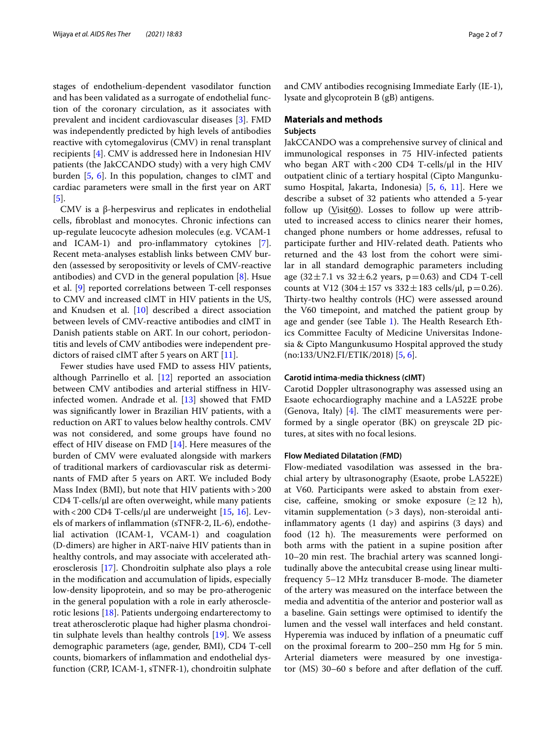stages of endothelium-dependent vasodilator function and has been validated as a surrogate of endothelial function of the coronary circulation, as it associates with prevalent and incident cardiovascular diseases [[3](#page-5-2)]. FMD was independently predicted by high levels of antibodies reactive with cytomegalovirus (CMV) in renal transplant recipients [[4\]](#page-5-3). CMV is addressed here in Indonesian HIV patients (the JakCCANDO study) with a very high CMV burden [[5,](#page-5-4) [6\]](#page-5-5). In this population, changes to cIMT and cardiac parameters were small in the frst year on ART [[5\]](#page-5-4).

CMV is a β-herpesvirus and replicates in endothelial cells, fbroblast and monocytes. Chronic infections can up-regulate leucocyte adhesion molecules (e.g. VCAM-1 and ICAM-1) and pro-infammatory cytokines [\[7](#page-5-6)]. Recent meta-analyses establish links between CMV burden (assessed by seropositivity or levels of CMV-reactive antibodies) and CVD in the general population  $[8]$  $[8]$ . Hsue et al. [\[9](#page-5-8)] reported correlations between T-cell responses to CMV and increased cIMT in HIV patients in the US, and Knudsen et al. [\[10](#page-5-9)] described a direct association between levels of CMV-reactive antibodies and cIMT in Danish patients stable on ART. In our cohort, periodontitis and levels of CMV antibodies were independent predictors of raised cIMT after 5 years on ART [[11\]](#page-5-10).

Fewer studies have used FMD to assess HIV patients, although Parrinello et al.  $[12]$  $[12]$  reported an association between CMV antibodies and arterial stifness in HIVinfected women. Andrade et al. [\[13](#page-5-12)] showed that FMD was signifcantly lower in Brazilian HIV patients, with a reduction on ART to values below healthy controls. CMV was not considered, and some groups have found no efect of HIV disease on FMD [\[14\]](#page-5-13). Here measures of the burden of CMV were evaluated alongside with markers of traditional markers of cardiovascular risk as determinants of FMD after 5 years on ART. We included Body Mass Index (BMI), but note that HIV patients with>200  $CD4$  T-cells/ $\mu$ l are often overweight, while many patients with < 200 CD4 T-cells/ $\mu$ l are underweight [[15](#page-5-14), [16\]](#page-5-15). Levels of markers of infammation (sTNFR-2, IL-6), endothelial activation (ICAM-1, VCAM-1) and coagulation (D-dimers) are higher in ART-naive HIV patients than in healthy controls, and may associate with accelerated atherosclerosis [\[17](#page-5-16)]. Chondroitin sulphate also plays a role in the modifcation and accumulation of lipids, especially low-density lipoprotein, and so may be pro-atherogenic in the general population with a role in early atherosclerotic lesions [\[18\]](#page-6-0). Patients undergoing endarterectomy to treat atherosclerotic plaque had higher plasma chondroitin sulphate levels than healthy controls [\[19](#page-6-1)]. We assess demographic parameters (age, gender, BMI), CD4 T-cell counts, biomarkers of infammation and endothelial dysfunction (CRP, ICAM-1, sTNFR-1), chondroitin sulphate and CMV antibodies recognising Immediate Early (IE-1), lysate and glycoprotein B (gB) antigens.

# **Materials and methods**

# **Subjects**

JakCCANDO was a comprehensive survey of clinical and immunological responses in 75 HIV-infected patients who began ART with < 200 CD4 T-cells/ $\mu$ l in the HIV outpatient clinic of a tertiary hospital (Cipto Mangunkusumo Hospital, Jakarta, Indonesia) [[5,](#page-5-4) [6](#page-5-5), [11\]](#page-5-10). Here we describe a subset of 32 patients who attended a 5-year follow up  $(Visit60)$ . Losses to follow up were attributed to increased access to clinics nearer their homes, changed phone numbers or home addresses, refusal to participate further and HIV-related death. Patients who returned and the 43 lost from the cohort were similar in all standard demographic parameters including age  $(32 \pm 7.1 \text{ vs } 32 \pm 6.2 \text{ years}, p = 0.63)$  and CD4 T-cell counts at V12 (304 $\pm$ 157 vs 332 $\pm$ 183 cells/ $\mu$ l, p=0.26). Thirty-two healthy controls (HC) were assessed around the V60 timepoint, and matched the patient group by age and gender (see Table [1\)](#page-2-0). The Health Research Ethics Committee Faculty of Medicine Universitas Indonesia & Cipto Mangunkusumo Hospital approved the study (no:133/UN2.FI/ETIK/2018) [\[5,](#page-5-4) [6](#page-5-5)].

### **Carotid intima‑media thickness (cIMT)**

Carotid Doppler ultrasonography was assessed using an Esaote echocardiography machine and a LA522E probe (Genova, Italy)  $[4]$  $[4]$ . The cIMT measurements were performed by a single operator (BK) on greyscale 2D pictures, at sites with no focal lesions.

#### **Flow Mediated Dilatation (FMD)**

Flow-mediated vasodilation was assessed in the brachial artery by ultrasonography (Esaote, probe LA522E) at V60. Participants were asked to abstain from exercise, caffeine, smoking or smoke exposure  $(\geq 12 \; \text{h})$ , vitamin supplementation (>3 days), non-steroidal antiinfammatory agents (1 day) and aspirins (3 days) and food (12 h). The measurements were performed on both arms with the patient in a supine position after 10–20 min rest. The brachial artery was scanned longitudinally above the antecubital crease using linear multifrequency 5–12 MHz transducer B-mode. The diameter of the artery was measured on the interface between the media and adventitia of the anterior and posterior wall as a baseline. Gain settings were optimised to identify the lumen and the vessel wall interfaces and held constant. Hyperemia was induced by infation of a pneumatic cuf on the proximal forearm to 200–250 mm Hg for 5 min. Arterial diameters were measured by one investigator (MS) 30–60 s before and after defation of the cuf.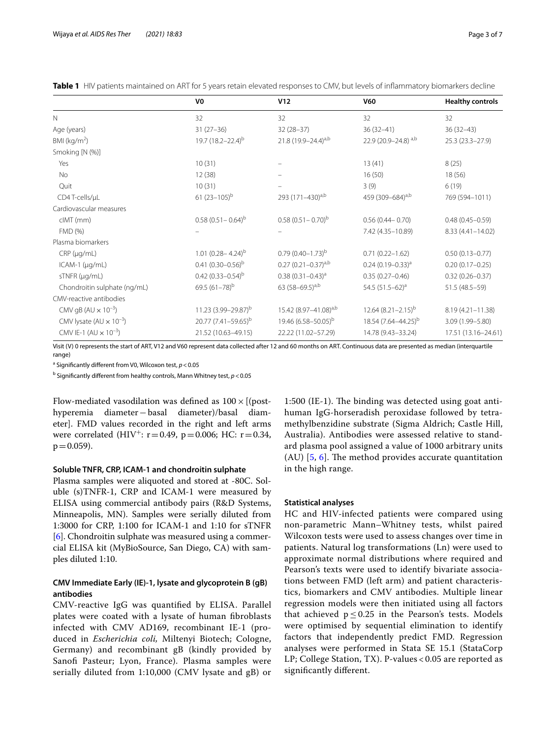|                                          | V <sub>0</sub>                  | V12                               | <b>V60</b>                      | <b>Healthy controls</b> |
|------------------------------------------|---------------------------------|-----------------------------------|---------------------------------|-------------------------|
| $\mathbb N$                              | 32                              | 32                                | 32                              | 32                      |
| Age (years)                              | $31(27-36)$                     | $32(28-37)$                       | $36(32-41)$                     | $36(32-43)$             |
| BMI ( $kg/m2$ )                          | 19.7 $(18.2 - 22.4)^{b}$        | 21.8 $(19.9 - 24.4)^{a,b}$        | 22.9 (20.9-24.8) a,b            | 25.3 (23.3-27.9)        |
| Smoking [N (%)]                          |                                 |                                   |                                 |                         |
| Yes                                      | 10(31)                          |                                   | 13(41)                          | 8(25)                   |
| No                                       | 12(38)                          |                                   | 16(50)                          | 18(56)                  |
| Quit                                     | 10(31)                          |                                   | 3(9)                            | 6(19)                   |
| CD4 T-cells/µL                           | 61 $(23-105)^{b}$               | 293 (171-430) <sup>a,b</sup>      | 459 (309-684) <sup>a,b</sup>    | 769 (594-1011)          |
| Cardiovascular measures                  |                                 |                                   |                                 |                         |
| $clMT$ (mm)                              | $0.58(0.51 - 0.64)^{b}$         | $0.58(0.51 - 0.70)^{b}$           | $0.56(0.44 - 0.70)$             | $0.48(0.45 - 0.59)$     |
| FMD (%)                                  |                                 |                                   | 7.42 (4.35-10.89)               | 8.33 (4.41-14.02)       |
| Plasma biomarkers                        |                                 |                                   |                                 |                         |
| $CRP$ ( $\mu$ g/mL)                      | 1.01 $(0.28 - 4.24)^{b}$        | $0.79(0.40 - 1.73)^{b}$           | $0.71(0.22 - 1.62)$             | $0.50(0.13 - 0.77)$     |
| $ICAM-1$ ( $\mu q/mL$ )                  | 0.41 $(0.30 - 0.56)^{b}$        | $0.27 (0.21 - 0.37)^{a,b}$        | $0.24(0.19 - 0.33)^{a}$         | $0.20(0.17 - 0.25)$     |
| sTNFR (µg/mL)                            | 0.42 $(0.33 - 0.54)^{b}$        | $0.38(0.31 - 0.43)^{a}$           | $0.35(0.27 - 0.46)$             | $0.32(0.26 - 0.37)$     |
| Chondroitin sulphate (ng/mL)             | 69.5 $(61-78)^{b}$              | 63 (58-69.5) <sup>a,b</sup>       | 54.5 $(51.5-62)^a$              | 51.5 (48.5-59)          |
| CMV-reactive antibodies                  |                                 |                                   |                                 |                         |
| CMV gB (AU $\times$ 10 <sup>-3</sup> )   | 11.23 (3.99-29.87) <sup>b</sup> | 15.42 (8.97-41.08) <sup>a,b</sup> | $12.64 (8.21 - 2.15)^{b}$       | 8.19 (4.21-11.38)       |
| CMV lysate $(AU \times 10^{-3})$         | 20.77 (7.41-59.65) <sup>b</sup> | 19.46 (6.58-50.05) <sup>b</sup>   | 18.54 (7.64-44.25) <sup>b</sup> | 3.09 (1.99-5.80)        |
| CMV IE-1 (AU $\times$ 10 <sup>-3</sup> ) | 21.52 (10.63-49.15)             | 22.22 (11.02-57.29)               | 14.78 (9.43-33.24)              | 17.51 (13.16-24.61)     |

<span id="page-2-0"></span>**Table 1** HIV patients maintained on ART for 5 years retain elevated responses to CMV, but levels of infammatory biomarkers decline

Visit (V) 0 represents the start of ART, V12 and V60 represent data collected after 12 and 60 months on ART. Continuous data are presented as median (interquartile range)

<sup>a</sup> Significantly different from V0, Wilcoxon test, *p* < 0.05

<sup>b</sup> Significantly different from healthy controls, Mann Whitney test, *p* < 0.05

Flow-mediated vasodilation was defined as  $100 \times$  [(posthyperemia diameter−basal diameter)/basal diameter]. FMD values recorded in the right and left arms were correlated (HIV<sup>+</sup>:  $r = 0.49$ ,  $p = 0.006$ ; HC:  $r = 0.34$ ,  $p = 0.059$ ).

#### **Soluble TNFR, CRP, ICAM‑1 and chondroitin sulphate**

Plasma samples were aliquoted and stored at -80C. Soluble (s)TNFR-1, CRP and ICAM-1 were measured by ELISA using commercial antibody pairs (R&D Systems, Minneapolis, MN). Samples were serially diluted from 1:3000 for CRP, 1:100 for ICAM-1 and 1:10 for sTNFR [[6\]](#page-5-5). Chondroitin sulphate was measured using a commercial ELISA kit (MyBioSource, San Diego, CA) with samples diluted 1:10.

# **CMV Immediate Early (IE)‑1, lysate and glycoprotein B (gB) antibodies**

CMV-reactive IgG was quantifed by ELISA. Parallel plates were coated with a lysate of human fbroblasts infected with CMV AD169, recombinant IE-1 (produced in *Escherichia coli,* Miltenyi Biotech; Cologne, Germany) and recombinant gB (kindly provided by Sanof Pasteur; Lyon, France). Plasma samples were serially diluted from 1:10,000 (CMV lysate and gB) or

1:500 (IE-1). The binding was detected using goat antihuman IgG-horseradish peroxidase followed by tetramethylbenzidine substrate (Sigma Aldrich; Castle Hill, Australia). Antibodies were assessed relative to standard plasma pool assigned a value of 1000 arbitrary units (AU)  $[5, 6]$  $[5, 6]$  $[5, 6]$  $[5, 6]$  $[5, 6]$ . The method provides accurate quantitation in the high range.

#### **Statistical analyses**

HC and HIV-infected patients were compared using non-parametric Mann–Whitney tests, whilst paired Wilcoxon tests were used to assess changes over time in patients. Natural log transformations (Ln) were used to approximate normal distributions where required and Pearson's texts were used to identify bivariate associations between FMD (left arm) and patient characteristics, biomarkers and CMV antibodies. Multiple linear regression models were then initiated using all factors that achieved  $p \le 0.25$  in the Pearson's tests. Models were optimised by sequential elimination to identify factors that independently predict FMD. Regression analyses were performed in Stata SE 15.1 (StataCorp LP; College Station, TX). P-values < 0.05 are reported as signifcantly diferent.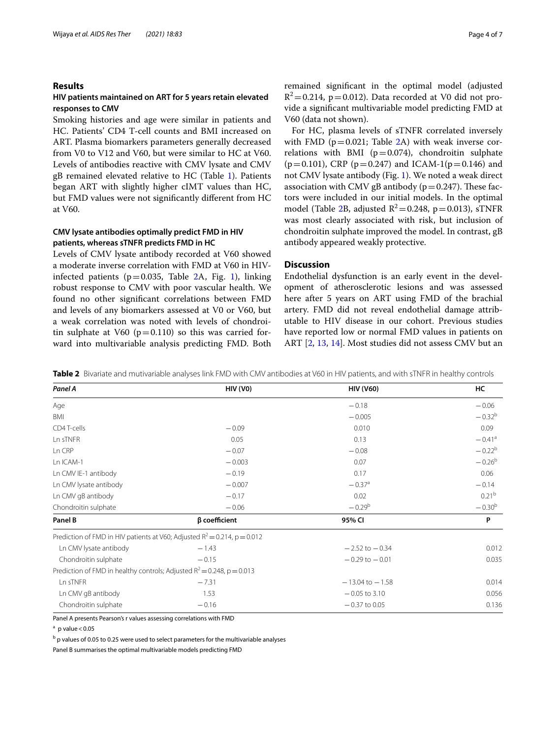### **Results**

# **HIV patients maintained on ART for 5 years retain elevated responses to CMV**

Smoking histories and age were similar in patients and HC. Patients' CD4 T-cell counts and BMI increased on ART. Plasma biomarkers parameters generally decreased from V0 to V12 and V60, but were similar to HC at V60. Levels of antibodies reactive with CMV lysate and CMV gB remained elevated relative to HC (Table [1\)](#page-2-0). Patients began ART with slightly higher cIMT values than HC, but FMD values were not signifcantly diferent from HC at V60.

# **CMV lysate antibodies optimally predict FMD in HIV patients, whereas sTNFR predicts FMD in HC**

Levels of CMV lysate antibody recorded at V60 showed a moderate inverse correlation with FMD at V60 in HIVinfected patients ( $p=0.035$ , Table [2](#page-3-0)A, Fig. [1\)](#page-4-0), linking robust response to CMV with poor vascular health. We found no other signifcant correlations between FMD and levels of any biomarkers assessed at V0 or V60, but a weak correlation was noted with levels of chondroitin sulphate at V60  $(p=0.110)$  so this was carried forward into multivariable analysis predicting FMD. Both remained signifcant in the optimal model (adjusted  $R^2$ =0.214, p=0.012). Data recorded at V0 did not provide a signifcant multivariable model predicting FMD at V60 (data not shown).

For HC, plasma levels of sTNFR correlated inversely with FMD ( $p=0.021$ ; Table [2A](#page-3-0)) with weak inverse correlations with BMI ( $p=0.074$ ), chondroitin sulphate  $(p=0.101)$ , CRP ( $p=0.247$ ) and ICAM-1( $p=0.146$ ) and not CMV lysate antibody (Fig. [1\)](#page-4-0). We noted a weak direct association with CMV gB antibody ( $p=0.247$ ). These factors were included in our initial models. In the optimal model (Table [2B](#page-3-0), adjusted  $R^2$  = 0.248, p = 0.013), sTNFR was most clearly associated with risk, but inclusion of chondroitin sulphate improved the model. In contrast, gB antibody appeared weakly protective.

# **Discussion**

Endothelial dysfunction is an early event in the development of atherosclerotic lesions and was assessed here after 5 years on ART using FMD of the brachial artery. FMD did not reveal endothelial damage attributable to HIV disease in our cohort. Previous studies have reported low or normal FMD values in patients on ART [[2,](#page-5-1) [13,](#page-5-12) [14](#page-5-13)]. Most studies did not assess CMV but an

<span id="page-3-0"></span>**Table 2** Bivariate and mutivariable analyses link FMD with CMV antibodies at V60 in HIV patients, and with sTNFR in healthy controls

| Panel A                                                                      | <b>HIV (VO)</b>     | <b>HIV (V60)</b>     | HC                   |
|------------------------------------------------------------------------------|---------------------|----------------------|----------------------|
| Age                                                                          |                     | $-0.18$              | $-0.06$              |
| BMI                                                                          |                     | $-0.005$             | $-0.32^{b}$          |
| CD4 T-cells                                                                  | $-0.09$             | 0.010                | 0.09                 |
| Ln sTNFR                                                                     | 0.05                | 0.13                 | $-0.41$ <sup>a</sup> |
| Ln CRP                                                                       | $-0.07$             | $-0.08$              | $-0.22^{b}$          |
| Ln ICAM-1                                                                    | $-0.003$            | 0.07                 | $-0.26^{b}$          |
| Ln CMV IE-1 antibody                                                         | $-0.19$             | 0.17                 | 0.06                 |
| Ln CMV lysate antibody                                                       | $-0.007$            | $-0.37$ <sup>a</sup> | $-0.14$              |
| Ln CMV gB antibody                                                           | $-0.17$             | 0.02                 | 0.21 <sup>b</sup>    |
| Chondroitin sulphate                                                         | $-0.06$             | $-0.29^{b}$          | $-0.30^{b}$          |
| Panel B                                                                      | $\beta$ coefficient | 95% CI               | P                    |
| Prediction of FMD in HIV patients at V60; Adjusted $R^2 = 0.214$ , p = 0.012 |                     |                      |                      |
| Ln CMV lysate antibody                                                       | $-1.43$             | $-2.52$ to $-0.34$   | 0.012                |
| Chondroitin sulphate                                                         | $-0.15$             | $-0.29$ to $-0.01$   | 0.035                |
| Prediction of FMD in healthy controls; Adjusted $R^2$ = 0.248, p = 0.013     |                     |                      |                      |
| Ln sTNFR                                                                     | $-7.31$             | $-13.04$ to $-1.58$  | 0.014                |
| Ln CMV qB antibody                                                           | 1.53                | $-0.05$ to 3.10      | 0.056                |
| Chondroitin sulphate                                                         | $-0.16$             | $-0.37$ to 0.05      | 0.136                |

Panel A presents Pearson's r values assessing correlations with FMD

 $^{\rm b}$  p values of 0.05 to 0.25 were used to select parameters for the multivariable analyses

Panel B summarises the optimal multivariable models predicting FMD

 $a$  p value < 0.05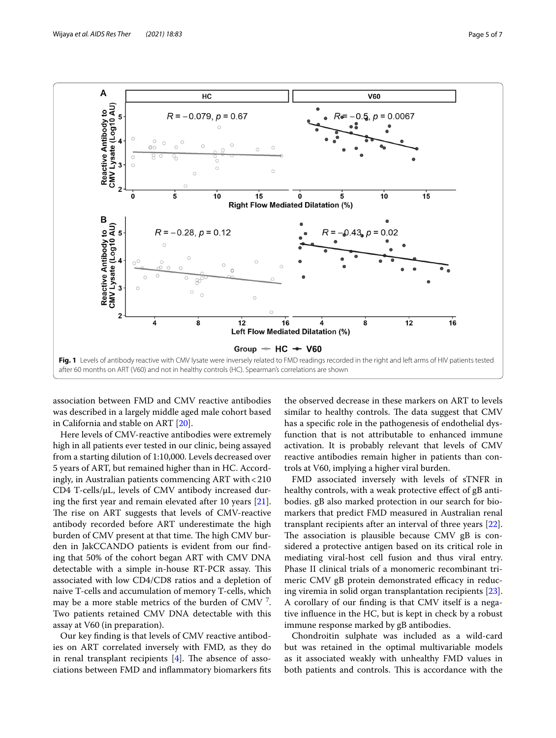

<span id="page-4-0"></span>association between FMD and CMV reactive antibodies was described in a largely middle aged male cohort based in California and stable on ART [[20](#page-6-2)].

Here levels of CMV-reactive antibodies were extremely high in all patients ever tested in our clinic, being assayed from a starting dilution of 1:10,000. Levels decreased over 5 years of ART, but remained higher than in HC. Accordingly, in Australian patients commencing ART with<210 CD4 T-cells/µL, levels of CMV antibody increased during the frst year and remain elevated after 10 years [\[21](#page-6-3)]. The rise on ART suggests that levels of CMV-reactive antibody recorded before ART underestimate the high burden of CMV present at that time. The high CMV burden in JakCCANDO patients is evident from our fnding that 50% of the cohort began ART with CMV DNA detectable with a simple in-house RT-PCR assay. This associated with low CD4/CD8 ratios and a depletion of naive T-cells and accumulation of memory T-cells, which may be a more stable metrics of the burden of CMV  $^7$ . Two patients retained CMV DNA detectable with this assay at V60 (in preparation).

Our key fnding is that levels of CMV reactive antibodies on ART correlated inversely with FMD, as they do in renal transplant recipients  $[4]$ . The absence of associations between FMD and infammatory biomarkers fts

the observed decrease in these markers on ART to levels similar to healthy controls. The data suggest that CMV has a specifc role in the pathogenesis of endothelial dysfunction that is not attributable to enhanced immune activation. It is probably relevant that levels of CMV reactive antibodies remain higher in patients than controls at V60, implying a higher viral burden.

FMD associated inversely with levels of sTNFR in healthy controls, with a weak protective effect of gB antibodies. gB also marked protection in our search for biomarkers that predict FMD measured in Australian renal transplant recipients after an interval of three years [\[22](#page-6-4)]. The association is plausible because CMV  $gB$  is considered a protective antigen based on its critical role in mediating viral-host cell fusion and thus viral entry. Phase II clinical trials of a monomeric recombinant trimeric CMV gB protein demonstrated efficacy in reducing viremia in solid organ transplantation recipients [\[23](#page-6-5)]. A corollary of our fnding is that CMV itself is a negative infuence in the HC, but is kept in check by a robust immune response marked by gB antibodies.

Chondroitin sulphate was included as a wild-card but was retained in the optimal multivariable models as it associated weakly with unhealthy FMD values in both patients and controls. This is accordance with the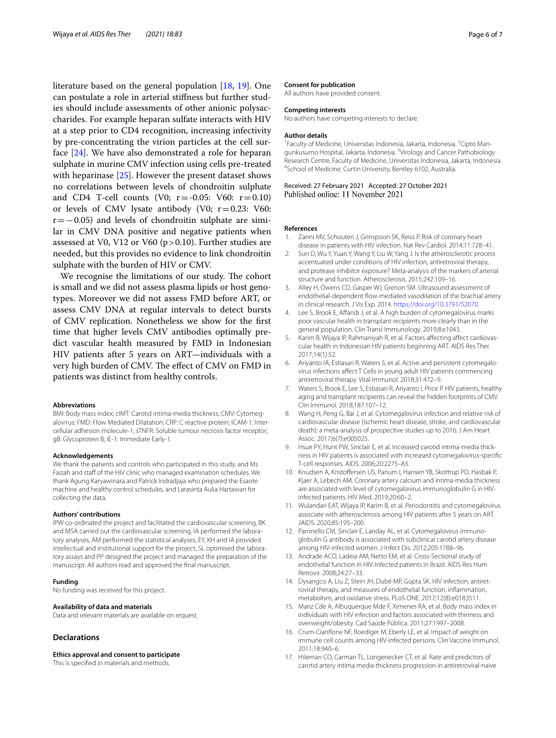literature based on the general population [[18,](#page-6-0) [19](#page-6-1)]. One can postulate a role in arterial stifness but further studies should include assessments of other anionic polysaccharides. For example heparan sulfate interacts with HIV at a step prior to CD4 recognition, increasing infectivity by pre-concentrating the virion particles at the cell surface [\[24](#page-6-6)]. We have also demonstrated a role for heparan sulphate in murine CMV infection using cells pre-treated with heparinase [[25\]](#page-6-7). However the present dataset shows no correlations between levels of chondroitin sulphate and CD4 T-cell counts (V0;  $r = -0.05$ : V60:  $r = 0.10$ ) or levels of CMV lysate antibody (V0;  $r=0.23$ : V60:  $r=-0.05$ ) and levels of chondroitin sulphate are similar in CMV DNA positive and negative patients when assessed at V0, V12 or V60 (p>0.10). Further studies are needed, but this provides no evidence to link chondroitin sulphate with the burden of HIV or CMV.

We recognise the limitations of our study. The cohort is small and we did not assess plasma lipids or host genotypes. Moreover we did not assess FMD before ART, or assess CMV DNA at regular intervals to detect bursts of CMV replication. Nonetheless we show for the frst time that higher levels CMV antibodies optimally predict vascular health measured by FMD in Indonesian HIV patients after 5 years on ART—individuals with a very high burden of CMV. The effect of CMV on FMD in patients was distinct from healthy controls.

#### **Abbreviations**

BMI: Body mass index; cIMT: Carotid intima-media thickness; CMV: Cytomegalovirus; FMD: Flow Mediated Dilatation; CRP: C reactive protein; ICAM-1: Intercellular adhesion molecule-1; sTNFR: Soluble tumour necrosis factor receptor; gB: Glycoprotein B; IE-1: Immediate Early-1.

#### **Acknowledgements**

We thank the patients and controls who participated in this study, and Ms Faizah and staff of the HIV clinic who managed examination schedules. We thank Agung Karyawinara and Patrick Indradjaja who prepared the Esaote machine and healthy control schedules, and Larasinta Aulia Hartawan for collecting the data.

#### **Authors' contributions**

IPW co-ordinated the project and facilitated the cardiovascular screening, BK and MSA carried out the cardiovascular screening, IA performed the laboratory analyses, AM performed the statistical analyses, EY, KH and IA provided intellectual and institutional support for the project, SL optimised the laboratory assays and PP designed the project and managed the preparation of the manuscript. All authors read and approved the fnal manuscript.

#### **Funding**

No funding was received for this project.

#### **Availability of data and materials**

Data and relevant materials are available on request.

#### **Declarations**

#### **Ethics approval and consent to participate**

This is specifed in materials and methods.

#### **Consent for publication**

All authors have provided consent.

#### **Competing interests**

No authors have competing interests to declare.

#### **Author details**

<sup>1</sup> Faculty of Medicine, Universitas Indonesia, Jakarta, Indonesia. <sup>2</sup> Cipto Mangunkusumo Hospital, Jakarta, Indonesia. <sup>3</sup>Virology and Cancer Pathobiology Research Centre, Faculty of Medicine, Universitas Indonesia, Jakarta, Indonesia. 4 <sup>4</sup>School of Medicine, Curtin University, Bentley 6102, Australia.

Received: 27 February 2021 Accepted: 27 October 2021 Published online: 11 November 2021

#### **References**

- <span id="page-5-0"></span>1. Zanni MV, Schouten J, Grinspoon SK, Reiss P, Risk of coronary heart disease in patients with HIV infection. Nat Rev Cardiol. 2014;11:728–41.
- <span id="page-5-1"></span>2. Sun D, Wu Y, Yuan Y, Wang Y, Liu W, Yang J. Is the atherosclerotic process accentuated under conditions of HIV infection, antiretroviral therapy, and protease inhibitor exposure? Meta-analysis of the markers of arterial structure and function. Atherosclerosis. 2015;242:109–16.
- <span id="page-5-2"></span>3. Alley H, Owens CD, Gasper WJ, Grenon SM. Ultrasound assessment of endothelial-dependent fow-mediated vasodilation of the brachial artery in clinical research. J Vis Exp. 2014.<https://doi.org/10.3791/52070>.
- <span id="page-5-3"></span>4. Lee S, Brook E, Afandi J, et al. A high burden of cytomegalovirus marks poor vascular health in transplant recipients more clearly than in the general population. Clin Transl Immunology. 2019;8:e1043.
- <span id="page-5-4"></span>5. Karim B, Wijaya IP, Rahmaniyah R, et al. Factors affecting affect cardiovascular health in Indonesian HIV patients beginning ART. AIDS Res Ther. 2017;14(1):52.
- <span id="page-5-5"></span>6. Ariyanto IA, Estiasari R, Waters S, et al. Active and persistent cytomegalovirus infections afect T Cells in young adult HIV patients commencing antiretroviral therapy. Viral Immunol. 2018;31:472–9.
- <span id="page-5-6"></span>7. Waters S, Brook E, Lee S, Estiasari R, Ariyanto I, Price P. HIV patients, healthy aging and transplant recipients can reveal the hidden footprints of CMV. Clin Immunol. 2018;187:107–12.
- <span id="page-5-7"></span>8. Wang H, Peng G, Bai J, et al. Cytomegalovirus infection and relative risk of cardiovascular disease (ischemic heart disease, stroke, and cardiovascular death): a meta-analysis of prospective studies up to 2016. J Am Heart Assoc. 2017;6(7):e005025.
- <span id="page-5-8"></span>Hsue PY, Hunt PW, Sinclair E, et al. Increased carotid intima-media thickness in HIV patients is associated with increased cytomegalovirus-specifc T-cell responses. AIDS. 2006;20:2275–83.
- <span id="page-5-9"></span>10. Knudsen A, Kristofersen US, Panum I, Hansen YB, Skottrup PD, Hasbak P, Kjaer A, Lebech AM. Coronary artery calcium and intima-media thickness are associated with level of cytomegalovirus immunoglobulin G in HIVinfected patients. HIV Med. 2019;20:60–2.
- <span id="page-5-10"></span>11. Wulandari EAT, Wijaya IP, Karim B, et al. Periodontitis and cytomegalovirus associate with atherosclerosis among HIV patients after 5 years on ART. JAIDS. 2020;85:195–200.
- <span id="page-5-11"></span>12. Parrinello CM, Sinclair E, Landay AL, et al. Cytomegalovirus immunoglobulin G antibody is associated with subclinical carotid artery disease among HIV-infected women. J Infect Dis. 2012;205:1788–96.
- <span id="page-5-12"></span>13. Andrade ACO, Ladeia AM, Netto EM, et al. Cross-Sectional study of endothelial function in HIV-Infected patients in Brazil. AIDS Res Hum Retrovir. 2008;24:27–33.
- <span id="page-5-13"></span>14. Dysangco A, Liu Z, Stein JH, Dubé MP, Gupta SK. HIV infection, antiretroviral therapy, and measures of endothelial function, infammation, metabolism, and oxidative stress. PLoS ONE. 2017;12(8):e0183511.
- <span id="page-5-14"></span>15. Mariz Cde A, Albuquerque Mde F, Ximenes RA, et al. Body mass index in individuals with HIV infection and factors associated with thinness and overweight/obesity. Cad Saúde Pública. 2011;27:1997–2008.
- <span id="page-5-15"></span>16. Crum-Cianfone NF, Roediger M, Eberly LE, et al. Impact of weight on immune cell counts among HIV-infected persons. Clin Vaccine Immunol. 2011;18:940–6.
- <span id="page-5-16"></span>17. Hileman CO, Carman TL, Longenecker CT, et al. Rate and predictors of carotid artery intima media thickness progression in antiretroviral-naive